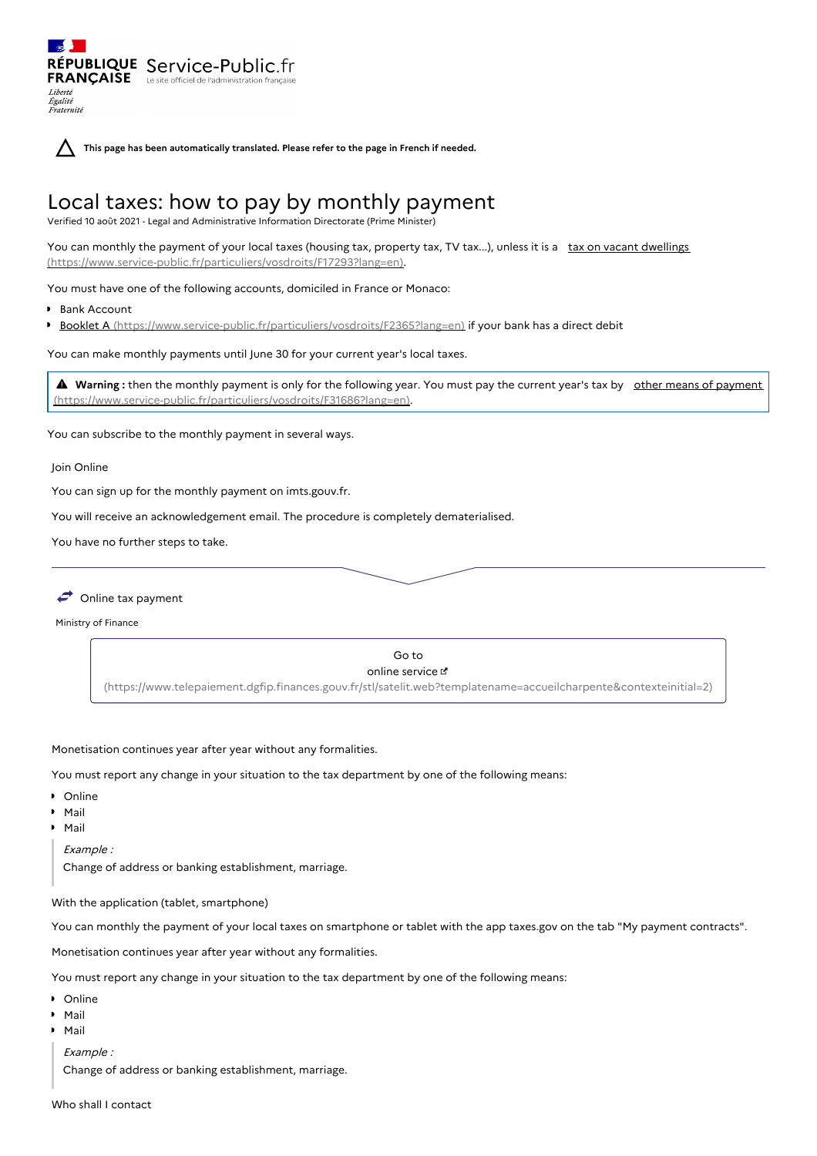**This page has been automatically translated. Please refer to the page in French if needed.**

# Local taxes: how to pay by monthly payment

Verified 10 août 2021 - Legal and Administrative Information Directorate (Prime Minister)

RÉPUBLIQUE Service-Public.fr **FRANÇAISE** Le site officiel de l'administration

You can monthly the payment of your local taxes (housing tax, property tax, TV tax...), unless it is a tax on vacant dwellings [\(https://www.service-public.fr/particuliers/vosdroits/F17293?lang=en\).](https://www.service-public.fr/particuliers/vosdroits/F17293?lang=en)

You must have one of the following accounts, domiciled in France or Monaco:

Bank Account

Liberté Égalité<br>Fraternité

Booklet A [\(https://www.service-public.fr/particuliers/vosdroits/F2365?lang=en\)](https://www.service-public.fr/particuliers/vosdroits/F2365?lang=en) if your bank has a direct debit

You can make monthly payments until June 30 for your current year's local taxes.

**A** Warning: then the monthly payment is only for the following year. You must pay the current year's tax by other means of payment [\(https://www.service-public.fr/particuliers/vosdroits/F31686?lang=en\).](https://www.service-public.fr/particuliers/vosdroits/F31686?lang=en)

You can subscribe to the monthly payment in several ways.

Join Online

You can sign up for the monthly payment on imts.gouv.fr.

You will receive an acknowledgement email. The procedure is completely dematerialised.

You have no further steps to take.



Ministry of Finance

Go to online service [\(https://www.telepaiement.dgfip.finances.gouv.fr/stl/satelit.web?templatename=accueilcharpente&contexteinitial=2\)](https://www.telepaiement.dgfip.finances.gouv.fr/stl/satelit.web?templatename=accueilcharpente&contexteinitial=2)

## Monetisation continues year after year without any formalities.

You must report any change in your situation to the tax department by one of the following means:

- **D** Online
- Mail
- Mail

Example :

Change of address or banking establishment, marriage.

With the application (tablet, smartphone)

You can monthly the payment of your local taxes on smartphone or tablet with the app taxes.gov on the tab "My payment contracts".

Monetisation continues year after year without any formalities.

You must report any change in your situation to the tax department by one of the following means:

- **•** Online
- Mail
- Mail

Example :

Change of address or banking establishment, marriage.